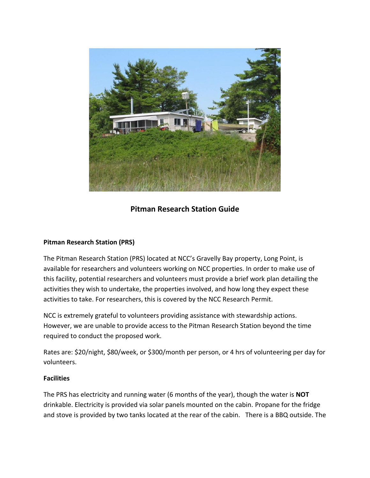

# **Pitman Research Station Guide**

# **Pitman Research Station (PRS)**

The Pitman Research Station (PRS) located at NCC's Gravelly Bay property, Long Point, is available for researchers and volunteers working on NCC properties. In order to make use of this facility, potential researchers and volunteers must provide a brief work plan detailing the activities they wish to undertake, the properties involved, and how long they expect these activities to take. For researchers, this is covered by the NCC Research Permit.

NCC is extremely grateful to volunteers providing assistance with stewardship actions. However, we are unable to provide access to the Pitman Research Station beyond the time required to conduct the proposed work.

Rates are: \$20/night, \$80/week, or \$300/month per person, or 4 hrs of volunteering per day for volunteers.

# **Facilities**

The PRS has electricity and running water (6 months of the year), though the water is **NOT** drinkable. Electricity is provided via solar panels mounted on the cabin. Propane for the fridge and stove is provided by two tanks located at the rear of the cabin. There is a BBQ outside. The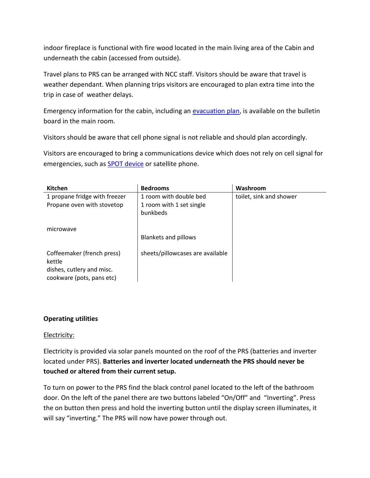indoor fireplace is functional with fire wood located in the main living area of the Cabin and underneath the cabin (accessed from outside).

Travel plans to PRS can be arranged with NCC staff. Visitors should be aware that travel is weather dependant. When planning trips visitors are encouraged to plan extra time into the trip in case of weather delays.

Emergency information for the cabin, including an [evacuation plan,](https://daisy.itncc.org/CollaborationSites/People/Health%20%20Safety/Emergency%20Evacuation%20Plan-Pitman%20Research%20Cabin.docx) is available on the bulletin board in the main room.

Visitors should be aware that cell phone signal is not reliable and should plan accordingly.

Visitors are encouraged to bring a communications device which does not rely on cell signal for emergencies, such as [SPOT device](https://www.findmespot.ca/en/) or satellite phone.

| <b>Kitchen</b>                | <b>Bedrooms</b>                  | Washroom                |
|-------------------------------|----------------------------------|-------------------------|
| 1 propane fridge with freezer | 1 room with double bed           | toilet, sink and shower |
| Propane oven with stovetop    | 1 room with 1 set single         |                         |
|                               | bunkbeds                         |                         |
| microwave                     |                                  |                         |
|                               | <b>Blankets and pillows</b>      |                         |
|                               |                                  |                         |
| Coffeemaker (french press)    | sheets/pillowcases are available |                         |
| kettle                        |                                  |                         |
| dishes, cutlery and misc.     |                                  |                         |
| cookware (pots, pans etc)     |                                  |                         |

#### **Operating utilities**

#### Electricity:

Electricity is provided via solar panels mounted on the roof of the PRS (batteries and inverter located under PRS). **Batteries and inverter located underneath the PRS should never be touched or altered from their current setup.** 

To turn on power to the PRS find the black control panel located to the left of the bathroom door. On the left of the panel there are two buttons labeled "On/Off" and "Inverting". Press the on button then press and hold the inverting button until the display screen illuminates, it will say "inverting." The PRS will now have power through out.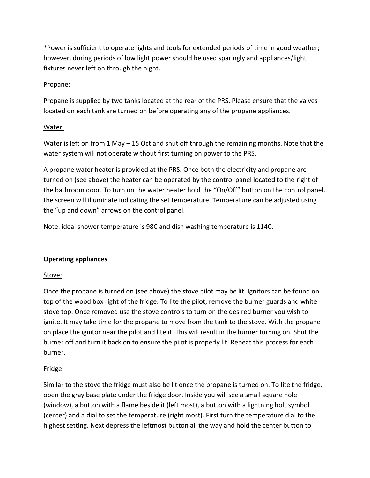\*Power is sufficient to operate lights and tools for extended periods of time in good weather; however, during periods of low light power should be used sparingly and appliances/light fixtures never left on through the night.

#### Propane:

Propane is supplied by two tanks located at the rear of the PRS. Please ensure that the valves located on each tank are turned on before operating any of the propane appliances.

#### Water:

Water is left on from 1 May – 15 Oct and shut off through the remaining months. Note that the water system will not operate without first turning on power to the PRS.

A propane water heater is provided at the PRS. Once both the electricity and propane are turned on (see above) the heater can be operated by the control panel located to the right of the bathroom door. To turn on the water heater hold the "On/Off" button on the control panel, the screen will illuminate indicating the set temperature. Temperature can be adjusted using the "up and down" arrows on the control panel.

Note: ideal shower temperature is 98C and dish washing temperature is 114C.

# **Operating appliances**

# Stove:

Once the propane is turned on (see above) the stove pilot may be lit. Ignitors can be found on top of the wood box right of the fridge. To lite the pilot; remove the burner guards and white stove top. Once removed use the stove controls to turn on the desired burner you wish to ignite. It may take time for the propane to move from the tank to the stove. With the propane on place the ignitor near the pilot and lite it. This will result in the burner turning on. Shut the burner off and turn it back on to ensure the pilot is properly lit. Repeat this process for each burner.

# Fridge:

Similar to the stove the fridge must also be lit once the propane is turned on. To lite the fridge, open the gray base plate under the fridge door. Inside you will see a small square hole (window), a button with a flame beside it (left most), a button with a lightning bolt symbol (center) and a dial to set the temperature (right most). First turn the temperature dial to the highest setting. Next depress the leftmost button all the way and hold the center button to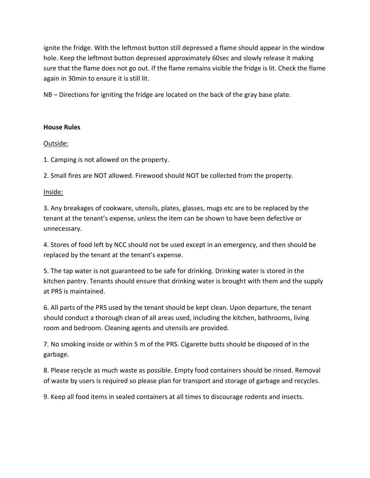ignite the fridge. With the leftmost button still depressed a flame should appear in the window hole. Keep the leftmost button depressed approximately 60sec and slowly release it making sure that the flame does not go out. If the flame remains visible the fridge is lit. Check the flame again in 30min to ensure it is still lit.

NB – Directions for igniting the fridge are located on the back of the gray base plate.

#### **House Rules**

#### Outside:

1. Camping is not allowed on the property.

2. Small fires are NOT allowed. Firewood should NOT be collected from the property.

# Inside:

3. Any breakages of cookware, utensils, plates, glasses, mugs etc are to be replaced by the tenant at the tenant's expense, unless the item can be shown to have been defective or unnecessary.

4. Stores of food left by NCC should not be used except in an emergency, and then should be replaced by the tenant at the tenant's expense.

5. The tap water is not guaranteed to be safe for drinking. Drinking water is stored in the kitchen pantry. Tenants should ensure that drinking water is brought with them and the supply at PRS is maintained.

6. All parts of the PRS used by the tenant should be kept clean. Upon departure, the tenant should conduct a thorough clean of all areas used, including the kitchen, bathrooms, living room and bedroom. Cleaning agents and utensils are provided.

7. No smoking inside or within 5 m of the PRS. Cigarette butts should be disposed of in the garbage.

8. Please recycle as much waste as possible. Empty food containers should be rinsed. Removal of waste by users is required so please plan for transport and storage of garbage and recycles.

9. Keep all food items in sealed containers at all times to discourage rodents and insects.